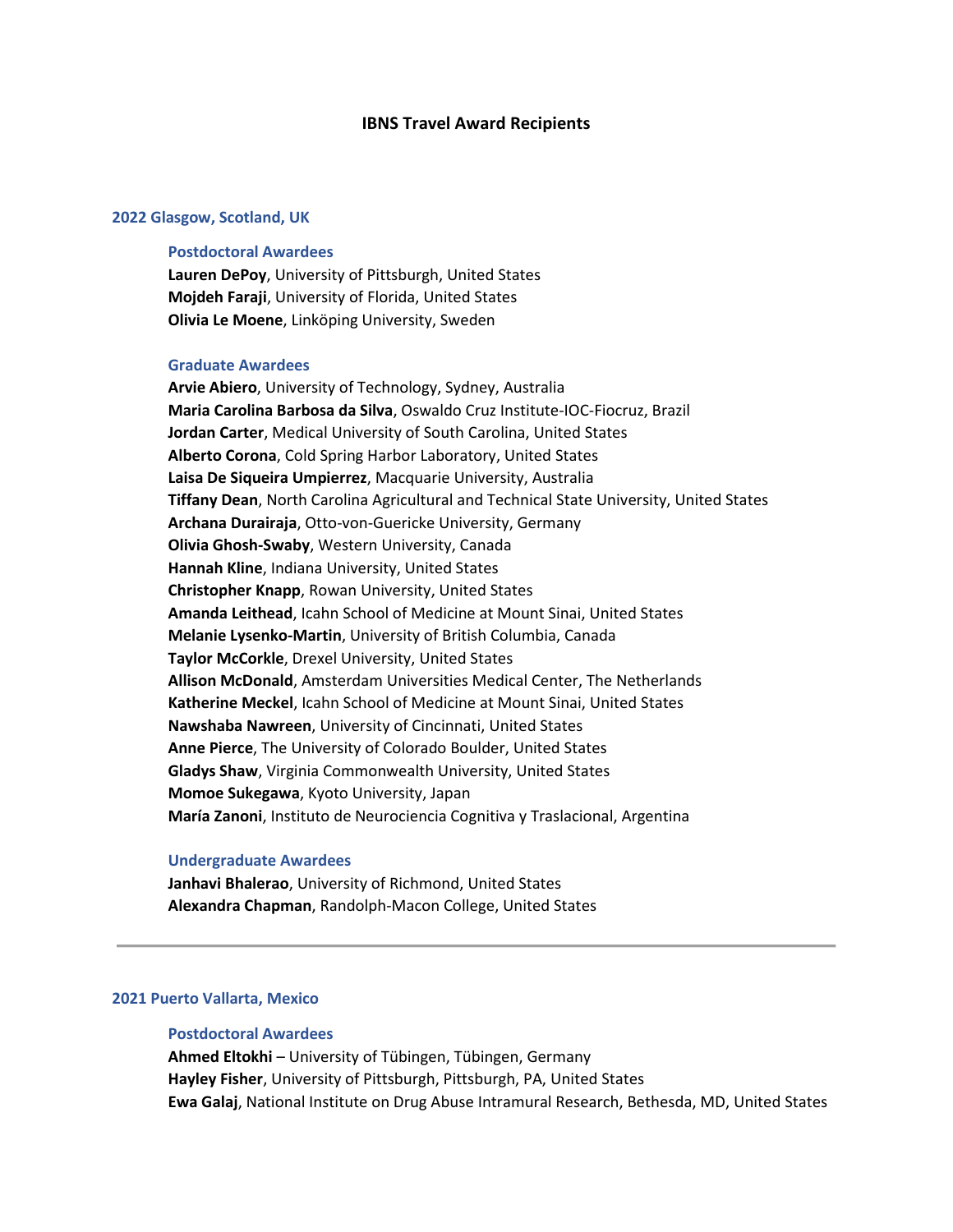# **IBNS Travel Award Recipients**

## **2022 Glasgow, Scotland, UK**

## **Postdoctoral Awardees**

**Lauren DePoy**, University of Pittsburgh, United States **Mojdeh Faraji**, University of Florida, United States **Olivia Le Moene**, Linköping University, Sweden

#### **Graduate Awardees**

**Arvie Abiero**, University of Technology, Sydney, Australia **Maria Carolina Barbosa da Silva**, Oswaldo Cruz Institute-IOC-Fiocruz, Brazil **Jordan Carter**, Medical University of South Carolina, United States **Alberto Corona**, Cold Spring Harbor Laboratory, United States **Laisa De Siqueira Umpierrez**, Macquarie University, Australia **Tiffany Dean**, North Carolina Agricultural and Technical State University, United States **Archana Durairaja**, Otto-von-Guericke University, Germany **Olivia Ghosh-Swaby**, Western University, Canada **Hannah Kline**, Indiana University, United States **Christopher Knapp**, Rowan University, United States **Amanda Leithead**, Icahn School of Medicine at Mount Sinai, United States **Melanie Lysenko-Martin**, University of British Columbia, Canada **Taylor McCorkle**, Drexel University, United States **Allison McDonald**, Amsterdam Universities Medical Center, The Netherlands **Katherine Meckel**, Icahn School of Medicine at Mount Sinai, United States **Nawshaba Nawreen**, University of Cincinnati, United States **Anne Pierce**, The University of Colorado Boulder, United States **Gladys Shaw**, Virginia Commonwealth University, United States **Momoe Sukegawa**, Kyoto University, Japan **María Zanoni**, Instituto de Neurociencia Cognitiva y Traslacional, Argentina

#### **Undergraduate Awardees**

**Janhavi Bhalerao**, University of Richmond, United States **Alexandra Chapman**, Randolph-Macon College, United States

# **2021 Puerto Vallarta, Mexico**

# **Postdoctoral Awardees**

**Ahmed Eltokhi** – University of Tübingen, Tübingen, Germany **Hayley Fisher**, University of Pittsburgh, Pittsburgh, PA, United States **Ewa Galaj**, National Institute on Drug Abuse Intramural Research, Bethesda, MD, United States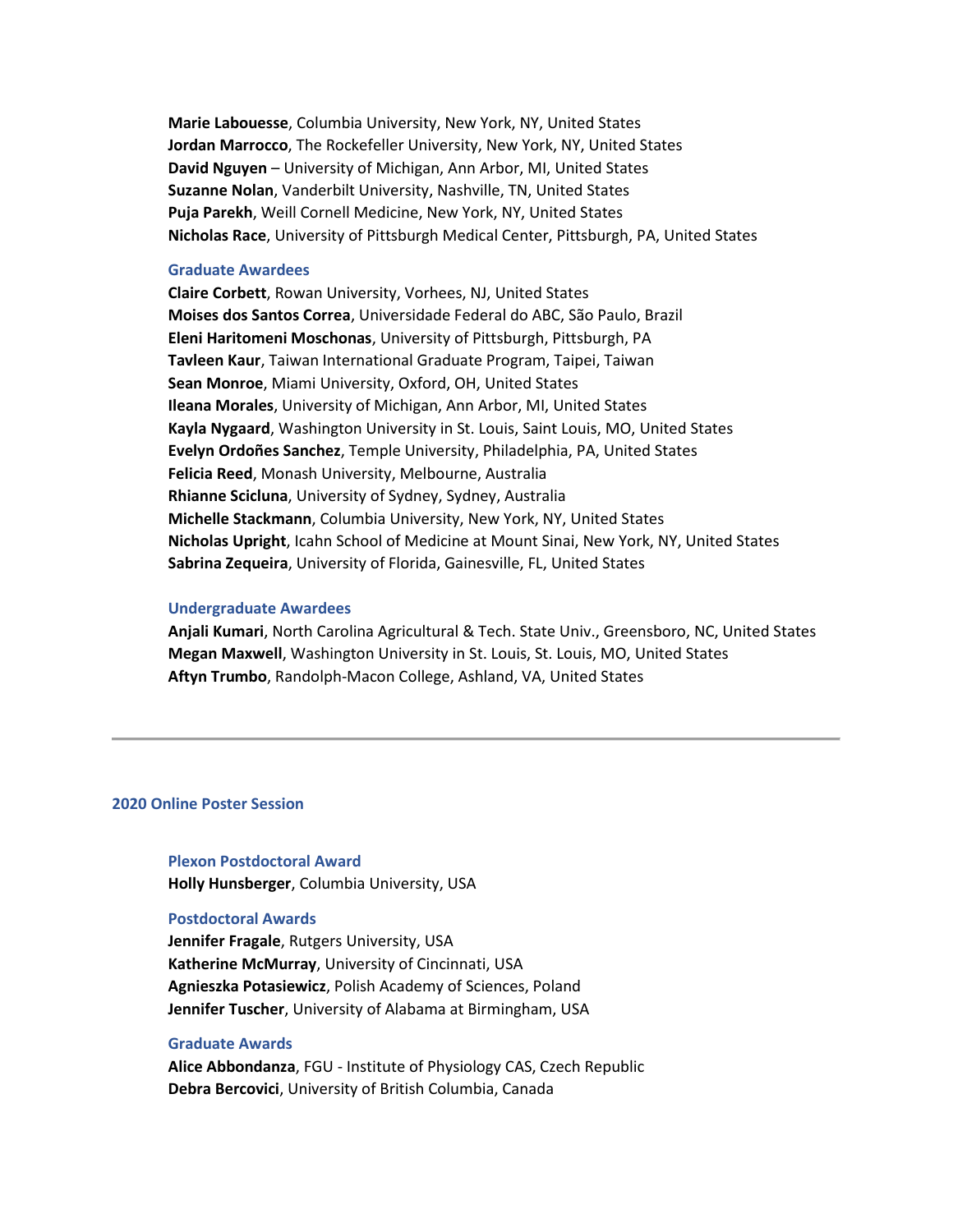**Marie Labouesse**, Columbia University, New York, NY, United States **Jordan Marrocco**, The Rockefeller University, New York, NY, United States **David Nguyen** – University of Michigan, Ann Arbor, MI, United States **Suzanne Nolan**, Vanderbilt University, Nashville, TN, United States **Puja Parekh**, Weill Cornell Medicine, New York, NY, United States **Nicholas Race**, University of Pittsburgh Medical Center, Pittsburgh, PA, United States

## **Graduate Awardees**

**Claire Corbett**, Rowan University, Vorhees, NJ, United States **Moises dos Santos Correa**, Universidade Federal do ABC, São Paulo, Brazil **Eleni Haritomeni Moschonas**, University of Pittsburgh, Pittsburgh, PA **Tavleen Kaur**, Taiwan International Graduate Program, Taipei, Taiwan **Sean Monroe**, Miami University, Oxford, OH, United States **Ileana Morales**, University of Michigan, Ann Arbor, MI, United States **Kayla Nygaard**, Washington University in St. Louis, Saint Louis, MO, United States **Evelyn Ordoñes Sanchez**, Temple University, Philadelphia, PA, United States **Felicia Reed**, Monash University, Melbourne, Australia **Rhianne Scicluna**, University of Sydney, Sydney, Australia **Michelle Stackmann**, Columbia University, New York, NY, United States **Nicholas Upright**, Icahn School of Medicine at Mount Sinai, New York, NY, United States **Sabrina Zequeira**, University of Florida, Gainesville, FL, United States

# **Undergraduate Awardees**

**Anjali Kumari**, North Carolina Agricultural & Tech. State Univ., Greensboro, NC, United States **Megan Maxwell**, Washington University in St. Louis, St. Louis, MO, United States **Aftyn Trumbo**, Randolph-Macon College, Ashland, VA, United States

# **2020 Online Poster Session**

**Plexon Postdoctoral Award Holly Hunsberger**, Columbia University, USA

## **Postdoctoral Awards**

**Jennifer Fragale**, Rutgers University, USA **Katherine McMurray**, University of Cincinnati, USA **Agnieszka Potasiewicz**, Polish Academy of Sciences, Poland **Jennifer Tuscher**, University of Alabama at Birmingham, USA

# **Graduate Awards**

**Alice Abbondanza**, FGU - Institute of Physiology CAS, Czech Republic **Debra Bercovici**, University of British Columbia, Canada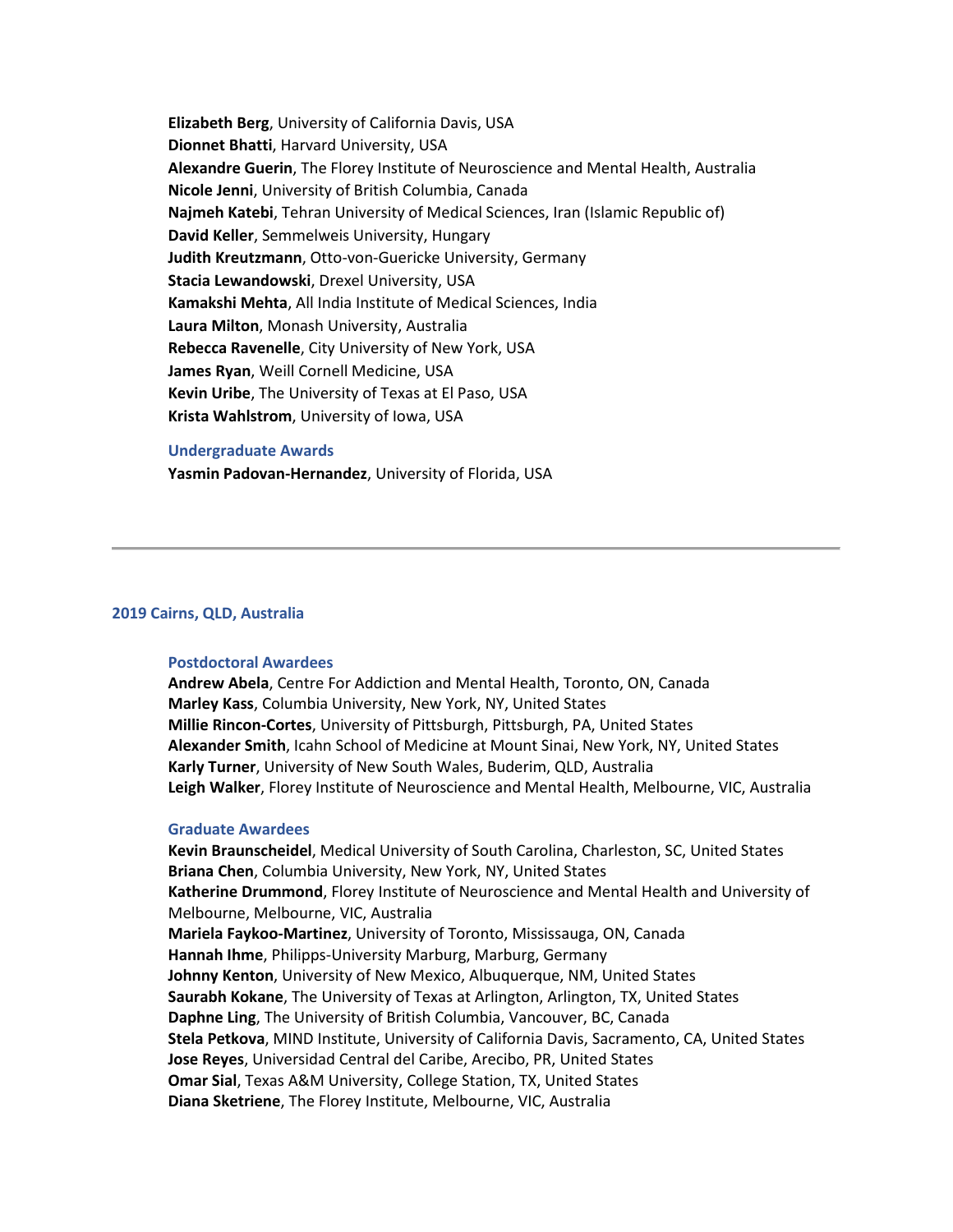**Elizabeth Berg**, University of California Davis, USA **Dionnet Bhatti**, Harvard University, USA **Alexandre Guerin**, The Florey Institute of Neuroscience and Mental Health, Australia **Nicole Jenni**, University of British Columbia, Canada **Najmeh Katebi**, Tehran University of Medical Sciences, Iran (Islamic Republic of) **David Keller**, Semmelweis University, Hungary **Judith Kreutzmann**, Otto-von-Guericke University, Germany **Stacia Lewandowski**, Drexel University, USA **Kamakshi Mehta**, All India Institute of Medical Sciences, India **Laura Milton**, Monash University, Australia **Rebecca Ravenelle**, City University of New York, USA **James Ryan**, Weill Cornell Medicine, USA **Kevin Uribe**, The University of Texas at El Paso, USA **Krista Wahlstrom**, University of Iowa, USA

# **Undergraduate Awards**

**Yasmin Padovan-Hernandez**, University of Florida, USA

# **2019 Cairns, QLD, Australia**

# **Postdoctoral Awardees**

**Andrew Abela**, Centre For Addiction and Mental Health, Toronto, ON, Canada **Marley Kass**, Columbia University, New York, NY, United States **Millie Rincon-Cortes**, University of Pittsburgh, Pittsburgh, PA, United States **Alexander Smith**, Icahn School of Medicine at Mount Sinai, New York, NY, United States **Karly Turner**, University of New South Wales, Buderim, QLD, Australia **Leigh Walker**, Florey Institute of Neuroscience and Mental Health, Melbourne, VIC, Australia

### **Graduate Awardees**

**Kevin Braunscheidel**, Medical University of South Carolina, Charleston, SC, United States **Briana Chen**, Columbia University, New York, NY, United States **Katherine Drummond**, Florey Institute of Neuroscience and Mental Health and University of Melbourne, Melbourne, VIC, Australia **Mariela Faykoo-Martinez**, University of Toronto, Mississauga, ON, Canada **Hannah Ihme**, Philipps-University Marburg, Marburg, Germany **Johnny Kenton**, University of New Mexico, Albuquerque, NM, United States **Saurabh Kokane**, The University of Texas at Arlington, Arlington, TX, United States **Daphne Ling**, The University of British Columbia, Vancouver, BC, Canada **Stela Petkova**, MIND Institute, University of California Davis, Sacramento, CA, United States **Jose Reyes**, Universidad Central del Caribe, Arecibo, PR, United States **Omar Sial**, Texas A&M University, College Station, TX, United States **Diana Sketriene**, The Florey Institute, Melbourne, VIC, Australia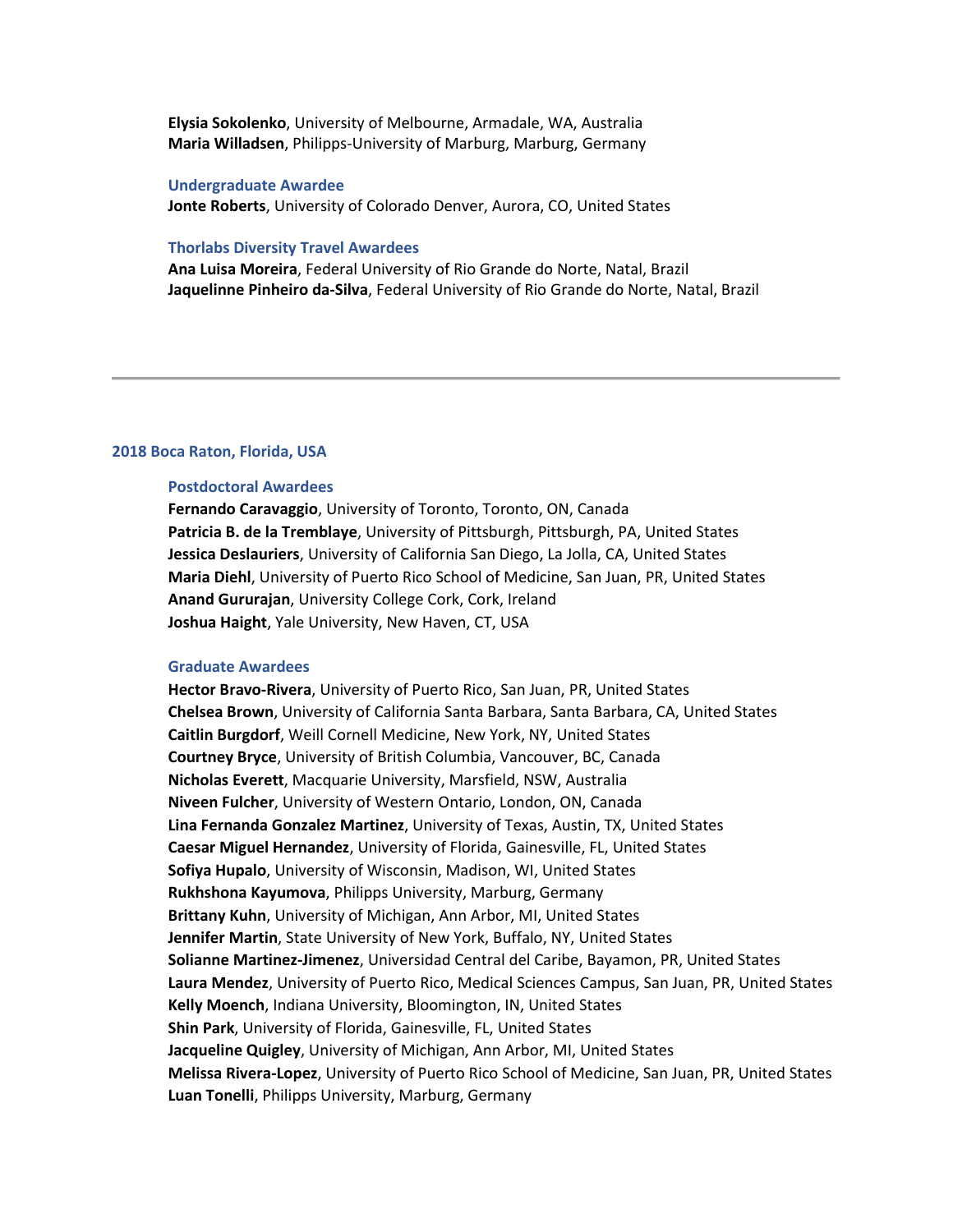**Elysia Sokolenko**, University of Melbourne, Armadale, WA, Australia **Maria Willadsen**, Philipps-University of Marburg, Marburg, Germany

#### **Undergraduate Awardee**

**Jonte Roberts**, University of Colorado Denver, Aurora, CO, United States

## **Thorlabs Diversity Travel Awardees**

**Ana Luisa Moreira**, Federal University of Rio Grande do Norte, Natal, Brazil **Jaquelinne Pinheiro da-Silva**, Federal University of Rio Grande do Norte, Natal, Brazil

# **2018 Boca Raton, Florida, USA**

## **Postdoctoral Awardees**

**Fernando Caravaggio**, University of Toronto, Toronto, ON, Canada **Patricia B. de la Tremblaye**, University of Pittsburgh, Pittsburgh, PA, United States **Jessica Deslauriers**, University of California San Diego, La Jolla, CA, United States **Maria Diehl**, University of Puerto Rico School of Medicine, San Juan, PR, United States **Anand Gururajan**, University College Cork, Cork, Ireland **Joshua Haight**, Yale University, New Haven, CT, USA

## **Graduate Awardees**

**Hector Bravo-Rivera**, University of Puerto Rico, San Juan, PR, United States **Chelsea Brown**, University of California Santa Barbara, Santa Barbara, CA, United States **Caitlin Burgdorf**, Weill Cornell Medicine, New York, NY, United States **Courtney Bryce**, University of British Columbia, Vancouver, BC, Canada **Nicholas Everett**, Macquarie University, Marsfield, NSW, Australia **Niveen Fulcher**, University of Western Ontario, London, ON, Canada **Lina Fernanda Gonzalez Martinez**, University of Texas, Austin, TX, United States **Caesar Miguel Hernandez**, University of Florida, Gainesville, FL, United States **Sofiya Hupalo**, University of Wisconsin, Madison, WI, United States **Rukhshona Kayumova**, Philipps University, Marburg, Germany **Brittany Kuhn**, University of Michigan, Ann Arbor, MI, United States **Jennifer Martin**, State University of New York, Buffalo, NY, United States **Solianne Martinez-Jimenez**, Universidad Central del Caribe, Bayamon, PR, United States **Laura Mendez**, University of Puerto Rico, Medical Sciences Campus, San Juan, PR, United States **Kelly Moench**, Indiana University, Bloomington, IN, United States **Shin Park**, University of Florida, Gainesville, FL, United States **Jacqueline Quigley**, University of Michigan, Ann Arbor, MI, United States **Melissa Rivera-Lopez**, University of Puerto Rico School of Medicine, San Juan, PR, United States **Luan Tonelli**, Philipps University, Marburg, Germany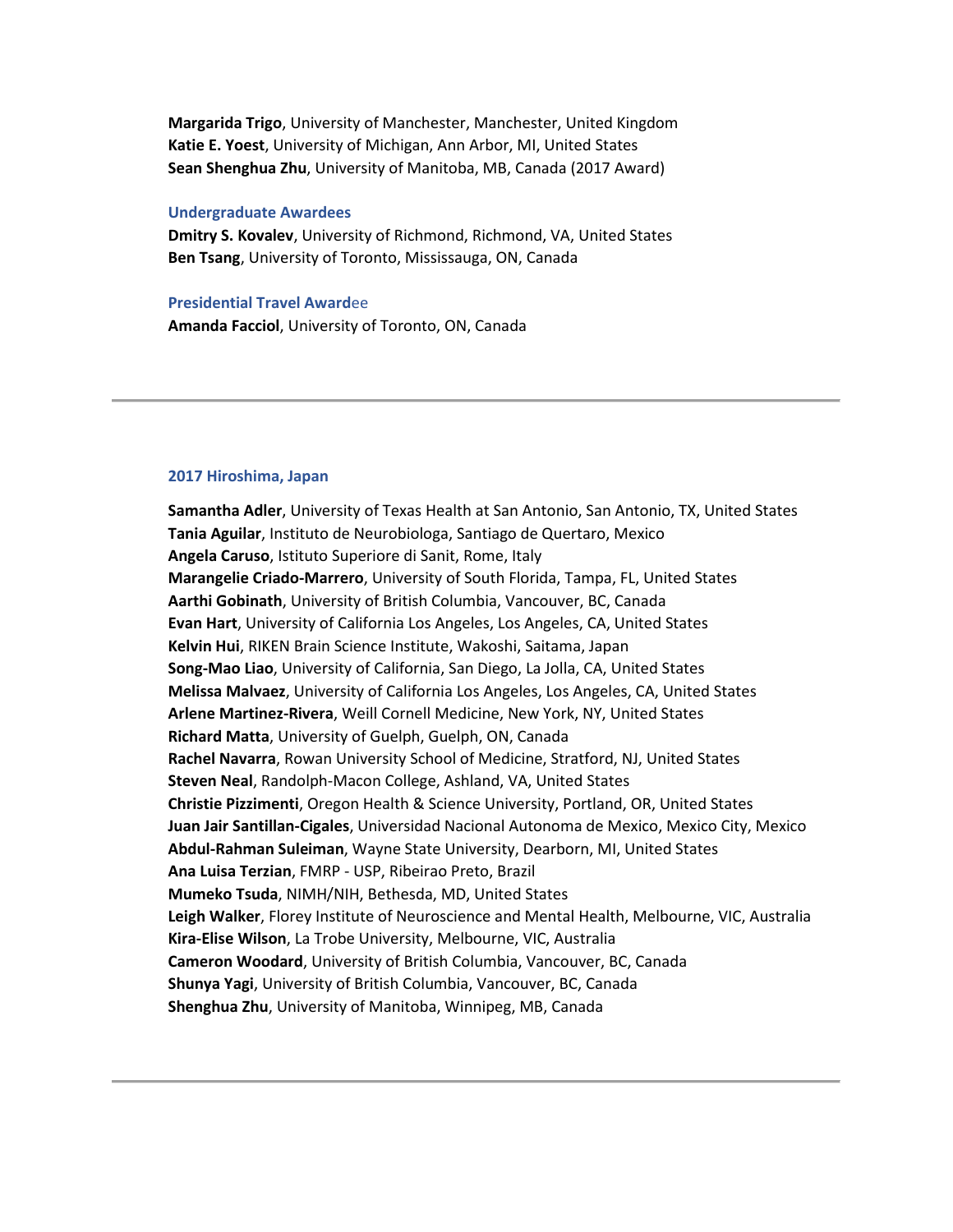**Margarida Trigo**, University of Manchester, Manchester, United Kingdom **Katie E. Yoest**, University of Michigan, Ann Arbor, MI, United States **Sean Shenghua Zhu**, University of Manitoba, MB, Canada (2017 Award)

## **Undergraduate Awardees**

**Dmitry S. Kovalev**, University of Richmond, Richmond, VA, United States **Ben Tsang**, University of Toronto, Mississauga, ON, Canada

**Presidential Travel Award**ee **Amanda Facciol**, University of Toronto, ON, Canada

## **2017 Hiroshima, Japan**

**Samantha Adler**, University of Texas Health at San Antonio, San Antonio, TX, United States **Tania Aguilar**, Instituto de Neurobiologa, Santiago de Quertaro, Mexico **Angela Caruso**, Istituto Superiore di Sanit, Rome, Italy **Marangelie Criado-Marrero**, University of South Florida, Tampa, FL, United States **Aarthi Gobinath**, University of British Columbia, Vancouver, BC, Canada **Evan Hart**, University of California Los Angeles, Los Angeles, CA, United States **Kelvin Hui**, RIKEN Brain Science Institute, Wakoshi, Saitama, Japan **Song-Mao Liao**, University of California, San Diego, La Jolla, CA, United States **Melissa Malvaez**, University of California Los Angeles, Los Angeles, CA, United States **Arlene Martinez-Rivera**, Weill Cornell Medicine, New York, NY, United States **Richard Matta**, University of Guelph, Guelph, ON, Canada **Rachel Navarra**, Rowan University School of Medicine, Stratford, NJ, United States **Steven Neal**, Randolph-Macon College, Ashland, VA, United States **Christie Pizzimenti**, Oregon Health & Science University, Portland, OR, United States **Juan Jair Santillan-Cigales**, Universidad Nacional Autonoma de Mexico, Mexico City, Mexico **Abdul-Rahman Suleiman**, Wayne State University, Dearborn, MI, United States **Ana Luisa Terzian**, FMRP - USP, Ribeirao Preto, Brazil **Mumeko Tsuda**, NIMH/NIH, Bethesda, MD, United States **Leigh Walker**, Florey Institute of Neuroscience and Mental Health, Melbourne, VIC, Australia **Kira-Elise Wilson**, La Trobe University, Melbourne, VIC, Australia **Cameron Woodard**, University of British Columbia, Vancouver, BC, Canada **Shunya Yagi**, University of British Columbia, Vancouver, BC, Canada **Shenghua Zhu**, University of Manitoba, Winnipeg, MB, Canada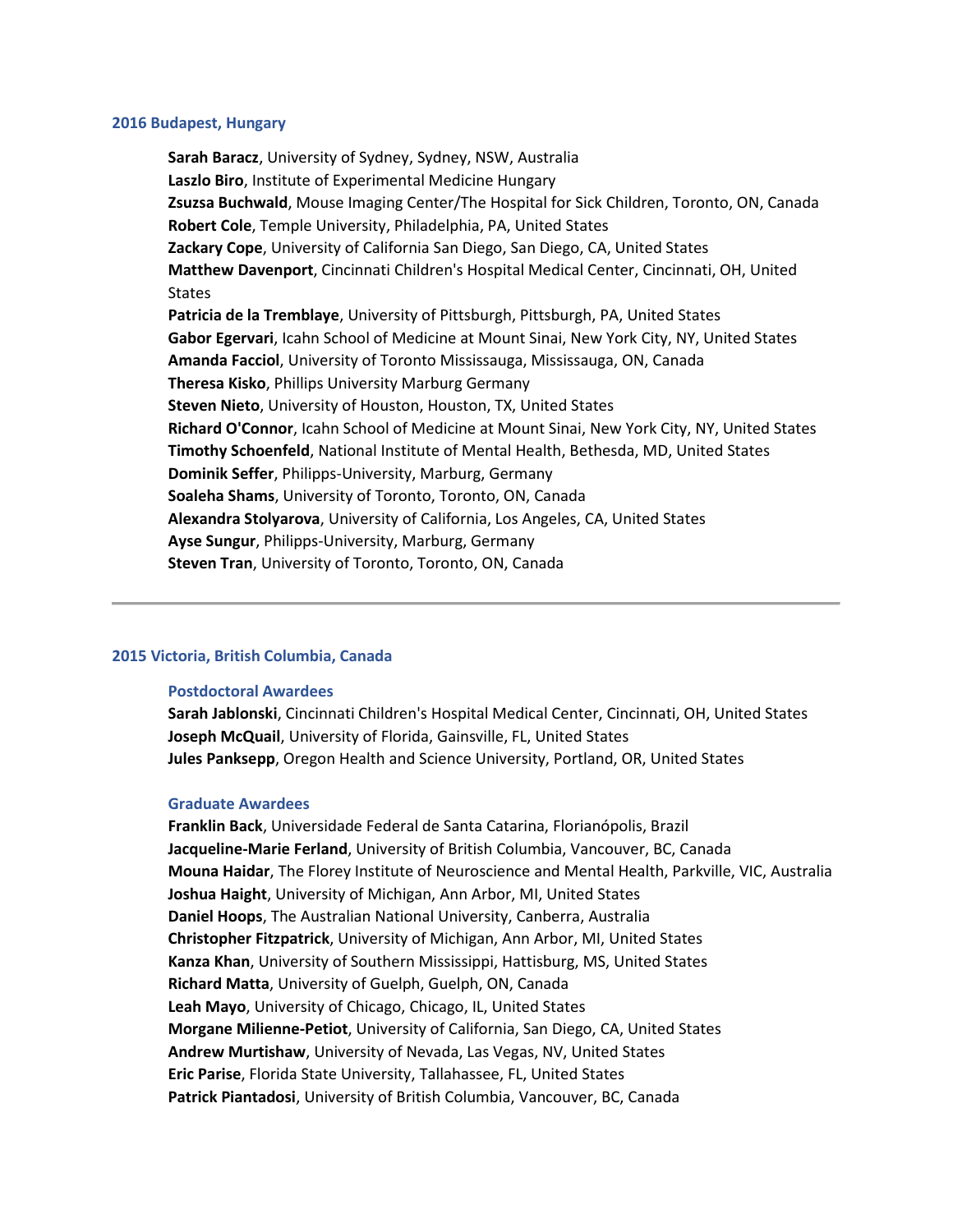### **2016 Budapest, Hungary**

**Sarah Baracz**, University of Sydney, Sydney, NSW, Australia **Laszlo Biro**, Institute of Experimental Medicine Hungary **Zsuzsa Buchwald**, Mouse Imaging Center/The Hospital for Sick Children, Toronto, ON, Canada **Robert Cole**, Temple University, Philadelphia, PA, United States **Zackary Cope**, University of California San Diego, San Diego, CA, United States **Matthew Davenport**, Cincinnati Children's Hospital Medical Center, Cincinnati, OH, United **States Patricia de la Tremblaye**, University of Pittsburgh, Pittsburgh, PA, United States **Gabor Egervari**, Icahn School of Medicine at Mount Sinai, New York City, NY, United States **Amanda Facciol**, University of Toronto Mississauga, Mississauga, ON, Canada **Theresa Kisko**, Phillips University Marburg Germany **Steven Nieto**, University of Houston, Houston, TX, United States **Richard O'Connor**, Icahn School of Medicine at Mount Sinai, New York City, NY, United States **Timothy Schoenfeld**, National Institute of Mental Health, Bethesda, MD, United States **Dominik Seffer**, Philipps-University, Marburg, Germany **Soaleha Shams**, University of Toronto, Toronto, ON, Canada **Alexandra Stolyarova**, University of California, Los Angeles, CA, United States **Ayse Sungur**, Philipps-University, Marburg, Germany **Steven Tran**, University of Toronto, Toronto, ON, Canada

# **2015 Victoria, British Columbia, Canada**

# **Postdoctoral Awardees**

**Sarah Jablonski**, Cincinnati Children's Hospital Medical Center, Cincinnati, OH, United States **Joseph McQuail**, University of Florida, Gainsville, FL, United States **Jules Panksepp**, Oregon Health and Science University, Portland, OR, United States

# **Graduate Awardees**

**Franklin Back**, Universidade Federal de Santa Catarina, Florianópolis, Brazil **Jacqueline-Marie Ferland**, University of British Columbia, Vancouver, BC, Canada **Mouna Haidar**, The Florey Institute of Neuroscience and Mental Health, Parkville, VIC, Australia **Joshua Haight**, University of Michigan, Ann Arbor, MI, United States **Daniel Hoops**, The Australian National University, Canberra, Australia **Christopher Fitzpatrick**, University of Michigan, Ann Arbor, MI, United States **Kanza Khan**, University of Southern Mississippi, Hattisburg, MS, United States **Richard Matta**, University of Guelph, Guelph, ON, Canada **Leah Mayo**, University of Chicago, Chicago, IL, United States **Morgane Milienne-Petiot**, University of California, San Diego, CA, United States **Andrew Murtishaw**, University of Nevada, Las Vegas, NV, United States **Eric Parise**, Florida State University, Tallahassee, FL, United States **Patrick Piantadosi**, University of British Columbia, Vancouver, BC, Canada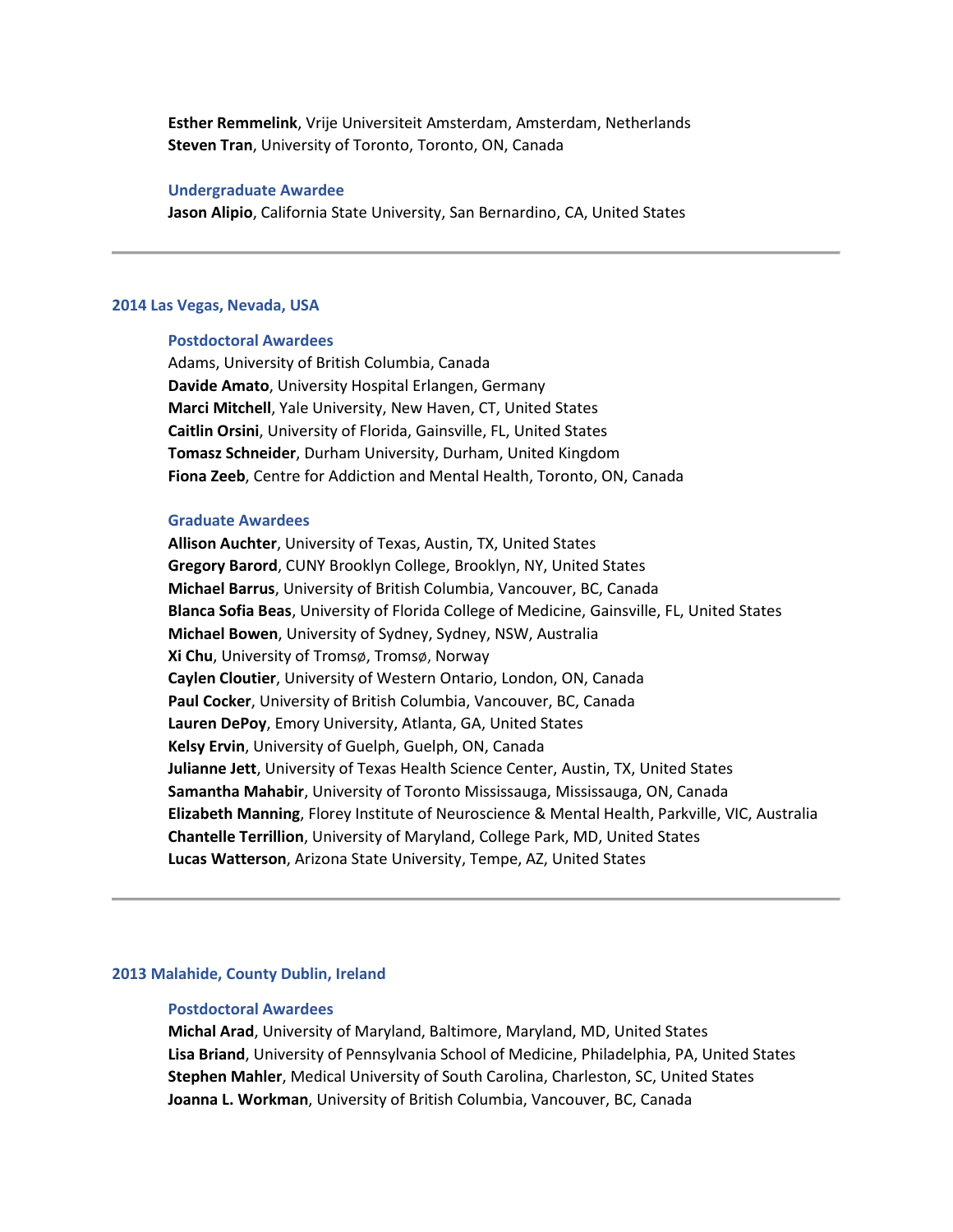**Esther Remmelink**, Vrije Universiteit Amsterdam, Amsterdam, Netherlands **Steven Tran**, University of Toronto, Toronto, ON, Canada

# **Undergraduate Awardee**

**Jason Alipio**, California State University, San Bernardino, CA, United States

# **2014 Las Vegas, Nevada, USA**

# **Postdoctoral Awardees**

Adams, University of British Columbia, Canada **Davide Amato**, University Hospital Erlangen, Germany **Marci Mitchell**, Yale University, New Haven, CT, United States **Caitlin Orsini**, University of Florida, Gainsville, FL, United States **Tomasz Schneider**, Durham University, Durham, United Kingdom **Fiona Zeeb**, Centre for Addiction and Mental Health, Toronto, ON, Canada

## **Graduate Awardees**

**Allison Auchter**, University of Texas, Austin, TX, United States **Gregory Barord**, CUNY Brooklyn College, Brooklyn, NY, United States **Michael Barrus**, University of British Columbia, Vancouver, BC, Canada **Blanca Sofia Beas**, University of Florida College of Medicine, Gainsville, FL, United States **Michael Bowen**, University of Sydney, Sydney, NSW, Australia **Xi Chu**, University of Tromsø, Tromsø, Norway **Caylen Cloutier**, University of Western Ontario, London, ON, Canada **Paul Cocker**, University of British Columbia, Vancouver, BC, Canada **Lauren DePoy**, Emory University, Atlanta, GA, United States **Kelsy Ervin**, University of Guelph, Guelph, ON, Canada **Julianne Jett**, University of Texas Health Science Center, Austin, TX, United States **Samantha Mahabir**, University of Toronto Mississauga, Mississauga, ON, Canada **Elizabeth Manning**, Florey Institute of Neuroscience & Mental Health, Parkville, VIC, Australia **Chantelle Terrillion**, University of Maryland, College Park, MD, United States **Lucas Watterson**, Arizona State University, Tempe, AZ, United States

# **2013 Malahide, County Dublin, Ireland**

#### **Postdoctoral Awardees**

**Michal Arad**, University of Maryland, Baltimore, Maryland, MD, United States **Lisa Briand**, University of Pennsylvania School of Medicine, Philadelphia, PA, United States **Stephen Mahler**, Medical University of South Carolina, Charleston, SC, United States **Joanna L. Workman**, University of British Columbia, Vancouver, BC, Canada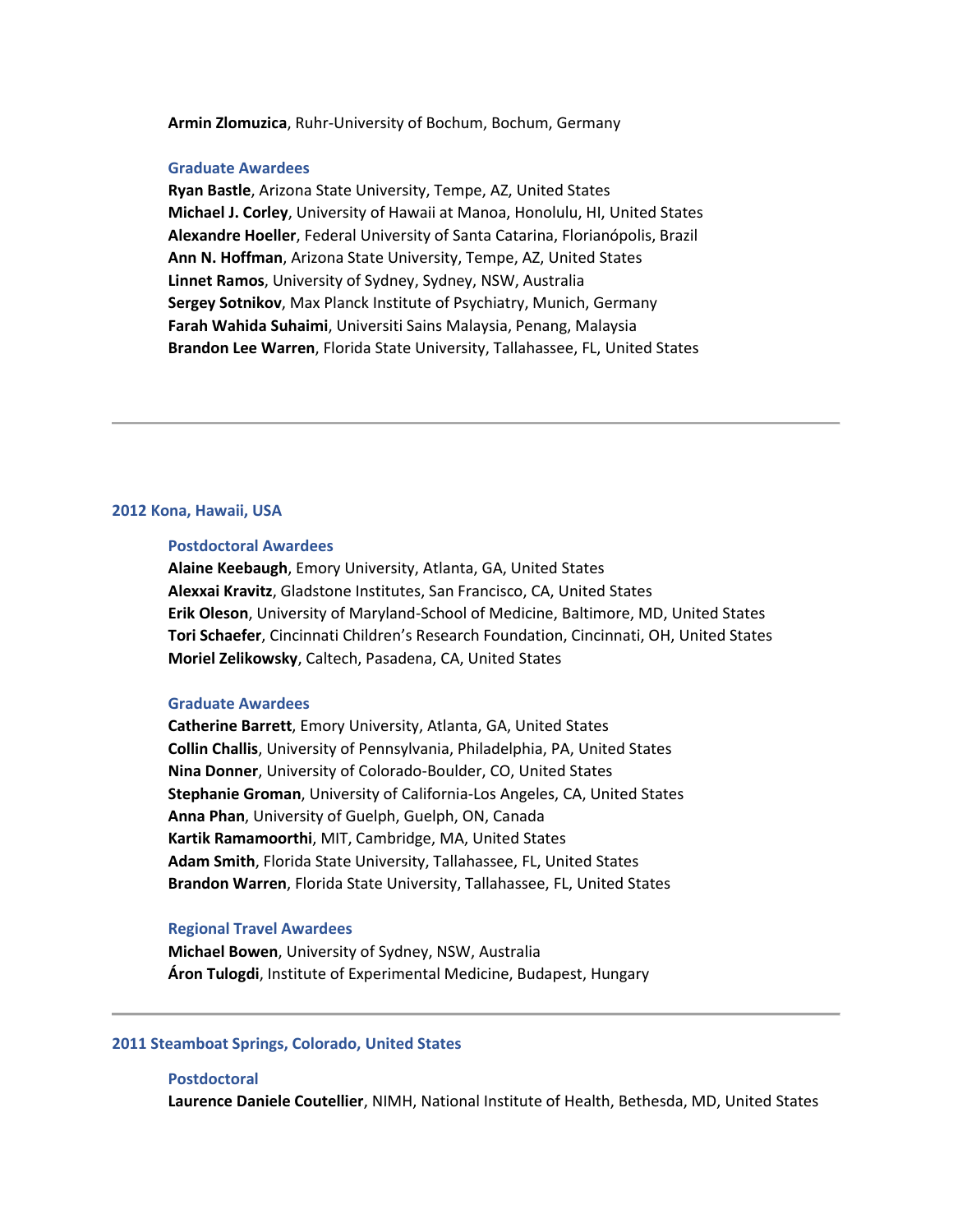**Armin Zlomuzica**, Ruhr-University of Bochum, Bochum, Germany

#### **Graduate Awardees**

**Ryan Bastle**, Arizona State University, Tempe, AZ, United States **Michael J. Corley**, University of Hawaii at Manoa, Honolulu, HI, United States **Alexandre Hoeller**, Federal University of Santa Catarina, Florianópolis, Brazil **Ann N. Hoffman**, Arizona State University, Tempe, AZ, United States **Linnet Ramos**, University of Sydney, Sydney, NSW, Australia **Sergey Sotnikov**, Max Planck Institute of Psychiatry, Munich, Germany **Farah Wahida Suhaimi**, Universiti Sains Malaysia, Penang, Malaysia **Brandon Lee Warren**, Florida State University, Tallahassee, FL, United States

# **2012 Kona, Hawaii, USA**

## **Postdoctoral Awardees**

**Alaine Keebaugh**, Emory University, Atlanta, GA, United States **Alexxai Kravitz**, Gladstone Institutes, San Francisco, CA, United States **Erik Oleson**, University of Maryland-School of Medicine, Baltimore, MD, United States **Tori Schaefer**, Cincinnati Children's Research Foundation, Cincinnati, OH, United States **Moriel Zelikowsky**, Caltech, Pasadena, CA, United States

## **Graduate Awardees**

**Catherine Barrett**, Emory University, Atlanta, GA, United States **Collin Challis**, University of Pennsylvania, Philadelphia, PA, United States **Nina Donner**, University of Colorado-Boulder, CO, United States **Stephanie Groman**, University of California-Los Angeles, CA, United States **Anna Phan**, University of Guelph, Guelph, ON, Canada **Kartik Ramamoorthi**, MIT, Cambridge, MA, United States **Adam Smith**, Florida State University, Tallahassee, FL, United States **Brandon Warren**, Florida State University, Tallahassee, FL, United States

### **Regional Travel Awardees**

**Michael Bowen**, University of Sydney, NSW, Australia **Áron Tulogdi**, Institute of Experimental Medicine, Budapest, Hungary

# **2011 Steamboat Springs, Colorado, United States**

### **Postdoctoral**

**Laurence Daniele Coutellier**, NIMH, National Institute of Health, Bethesda, MD, United States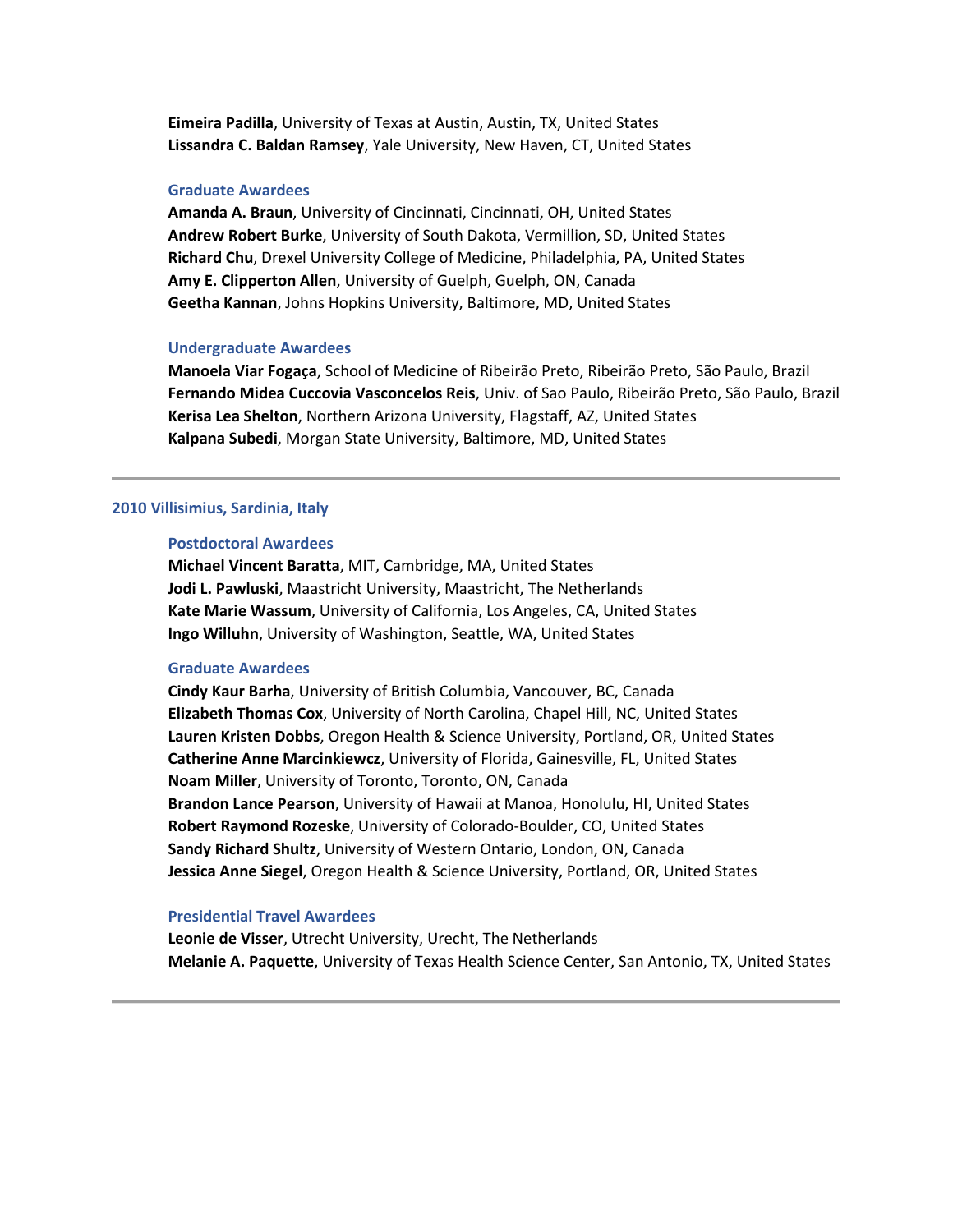**Eimeira Padilla**, University of Texas at Austin, Austin, TX, United States **Lissandra C. Baldan Ramsey**, Yale University, New Haven, CT, United States

# **Graduate Awardees**

**Amanda A. Braun**, University of Cincinnati, Cincinnati, OH, United States **Andrew Robert Burke**, University of South Dakota, Vermillion, SD, United States **Richard Chu**, Drexel University College of Medicine, Philadelphia, PA, United States **Amy E. Clipperton Allen**, University of Guelph, Guelph, ON, Canada **Geetha Kannan**, Johns Hopkins University, Baltimore, MD, United States

## **Undergraduate Awardees**

**Manoela Viar Fogaça**, School of Medicine of Ribeirão Preto, Ribeirão Preto, São Paulo, Brazil **Fernando Midea Cuccovia Vasconcelos Reis**, Univ. of Sao Paulo, Ribeirão Preto, São Paulo, Brazil **Kerisa Lea Shelton**, Northern Arizona University, Flagstaff, AZ, United States **Kalpana Subedi**, Morgan State University, Baltimore, MD, United States

## **2010 Villisimius, Sardinia, Italy**

# **Postdoctoral Awardees**

**Michael Vincent Baratta**, MIT, Cambridge, MA, United States **Jodi L. Pawluski**, Maastricht University, Maastricht, The Netherlands **Kate Marie Wassum**, University of California, Los Angeles, CA, United States **Ingo Willuhn**, University of Washington, Seattle, WA, United States

## **Graduate Awardees**

**Cindy Kaur Barha**, University of British Columbia, Vancouver, BC, Canada **Elizabeth Thomas Cox**, University of North Carolina, Chapel Hill, NC, United States **Lauren Kristen Dobbs**, Oregon Health & Science University, Portland, OR, United States **Catherine Anne Marcinkiewcz**, University of Florida, Gainesville, FL, United States **Noam Miller**, University of Toronto, Toronto, ON, Canada **Brandon Lance Pearson**, University of Hawaii at Manoa, Honolulu, HI, United States **Robert Raymond Rozeske**, University of Colorado-Boulder, CO, United States **Sandy Richard Shultz**, University of Western Ontario, London, ON, Canada **Jessica Anne Siegel**, Oregon Health & Science University, Portland, OR, United States

# **Presidential Travel Awardees**

**Leonie de Visser**, Utrecht University, Urecht, The Netherlands **Melanie A. Paquette**, University of Texas Health Science Center, San Antonio, TX, United States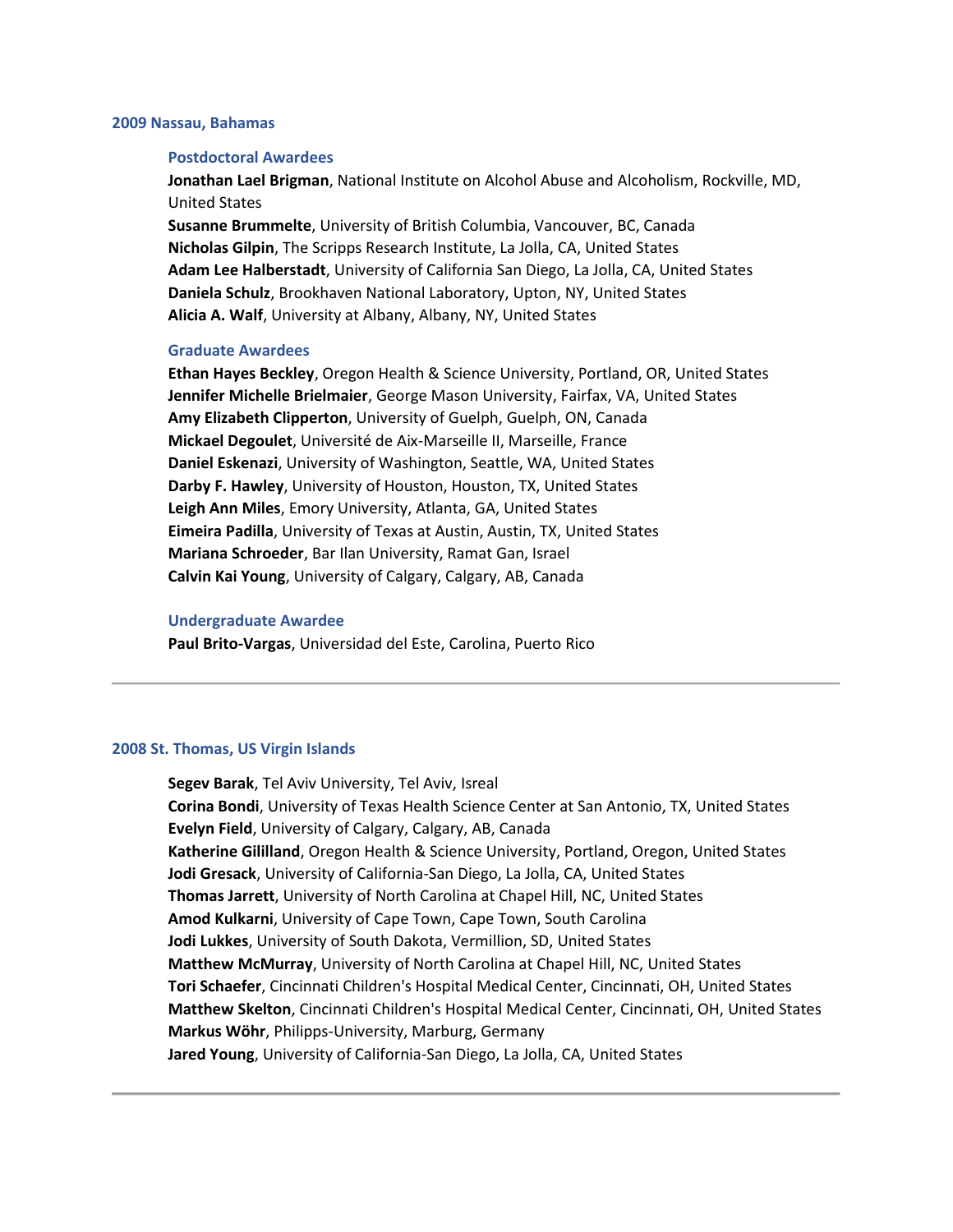#### **2009 Nassau, Bahamas**

#### **Postdoctoral Awardees**

**Jonathan Lael Brigman**, National Institute on Alcohol Abuse and Alcoholism, Rockville, MD, United States

**Susanne Brummelte**, University of British Columbia, Vancouver, BC, Canada **Nicholas Gilpin**, The Scripps Research Institute, La Jolla, CA, United States **Adam Lee Halberstadt**, University of California San Diego, La Jolla, CA, United States **Daniela Schulz**, Brookhaven National Laboratory, Upton, NY, United States **Alicia A. Walf**, University at Albany, Albany, NY, United States

# **Graduate Awardees**

**Ethan Hayes Beckley**, Oregon Health & Science University, Portland, OR, United States **Jennifer Michelle Brielmaier**, George Mason University, Fairfax, VA, United States **Amy Elizabeth Clipperton**, University of Guelph, Guelph, ON, Canada **Mickael Degoulet**, Université de Aix-Marseille II, Marseille, France **Daniel Eskenazi**, University of Washington, Seattle, WA, United States **Darby F. Hawley**, University of Houston, Houston, TX, United States **Leigh Ann Miles**, Emory University, Atlanta, GA, United States **Eimeira Padilla**, University of Texas at Austin, Austin, TX, United States **Mariana Schroeder**, Bar Ilan University, Ramat Gan, Israel **Calvin Kai Young**, University of Calgary, Calgary, AB, Canada

#### **Undergraduate Awardee**

**Paul Brito-Vargas**, Universidad del Este, Carolina, Puerto Rico

### **2008 St. Thomas, US Virgin Islands**

**Segev Barak**, Tel Aviv University, Tel Aviv, Isreal **Corina Bondi**, University of Texas Health Science Center at San Antonio, TX, United States **Evelyn Field**, University of Calgary, Calgary, AB, Canada **Katherine Gililland**, Oregon Health & Science University, Portland, Oregon, United States **Jodi Gresack**, University of California-San Diego, La Jolla, CA, United States **Thomas Jarrett**, University of North Carolina at Chapel Hill, NC, United States **Amod Kulkarni**, University of Cape Town, Cape Town, South Carolina **Jodi Lukkes**, University of South Dakota, Vermillion, SD, United States **Matthew McMurray**, University of North Carolina at Chapel Hill, NC, United States **Tori Schaefer**, Cincinnati Children's Hospital Medical Center, Cincinnati, OH, United States **Matthew Skelton**, Cincinnati Children's Hospital Medical Center, Cincinnati, OH, United States **Markus Wöhr**, Philipps-University, Marburg, Germany **Jared Young**, University of California-San Diego, La Jolla, CA, United States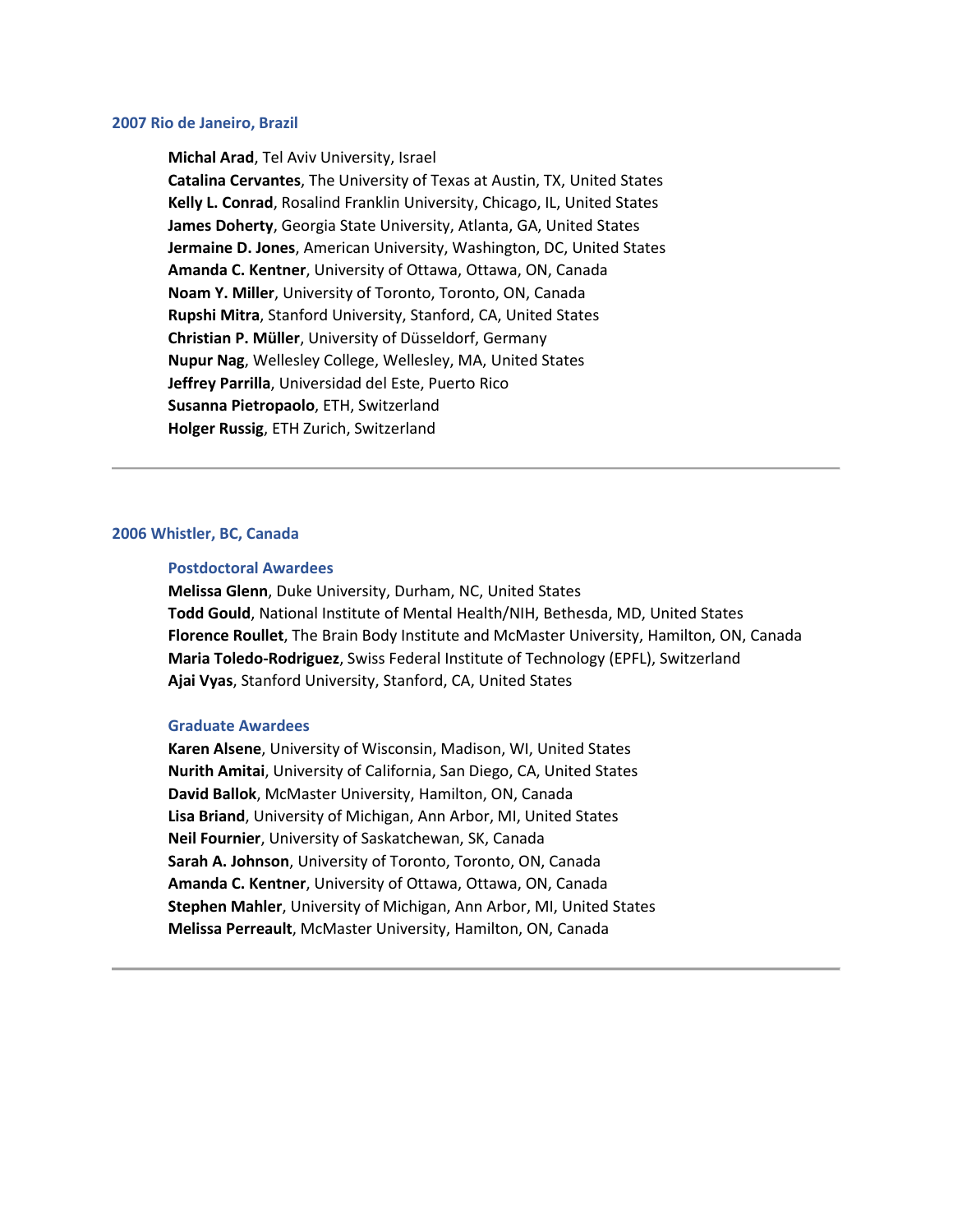#### **2007 Rio de Janeiro, Brazil**

**Michal Arad**, Tel Aviv University, Israel **Catalina Cervantes**, The University of Texas at Austin, TX, United States **Kelly L. Conrad**, Rosalind Franklin University, Chicago, IL, United States **James Doherty**, Georgia State University, Atlanta, GA, United States **Jermaine D. Jones**, American University, Washington, DC, United States **Amanda C. Kentner**, University of Ottawa, Ottawa, ON, Canada **Noam Y. Miller**, University of Toronto, Toronto, ON, Canada **Rupshi Mitra**, Stanford University, Stanford, CA, United States **Christian P. Müller**, University of Düsseldorf, Germany **Nupur Nag**, Wellesley College, Wellesley, MA, United States **Jeffrey Parrilla**, Universidad del Este, Puerto Rico **Susanna Pietropaolo**, ETH, Switzerland **Holger Russig**, ETH Zurich, Switzerland

### **2006 Whistler, BC, Canada**

# **Postdoctoral Awardees**

**Melissa Glenn**, Duke University, Durham, NC, United States **Todd Gould**, National Institute of Mental Health/NIH, Bethesda, MD, United States **Florence Roullet**, The Brain Body Institute and McMaster University, Hamilton, ON, Canada **Maria Toledo-Rodriguez**, Swiss Federal Institute of Technology (EPFL), Switzerland **Ajai Vyas**, Stanford University, Stanford, CA, United States

# **Graduate Awardees**

**Karen Alsene**, University of Wisconsin, Madison, WI, United States **Nurith Amitai**, University of California, San Diego, CA, United States **David Ballok**, McMaster University, Hamilton, ON, Canada **Lisa Briand**, University of Michigan, Ann Arbor, MI, United States **Neil Fournier**, University of Saskatchewan, SK, Canada **Sarah A. Johnson**, University of Toronto, Toronto, ON, Canada **Amanda C. Kentner**, University of Ottawa, Ottawa, ON, Canada **Stephen Mahler**, University of Michigan, Ann Arbor, MI, United States **Melissa Perreault**, McMaster University, Hamilton, ON, Canada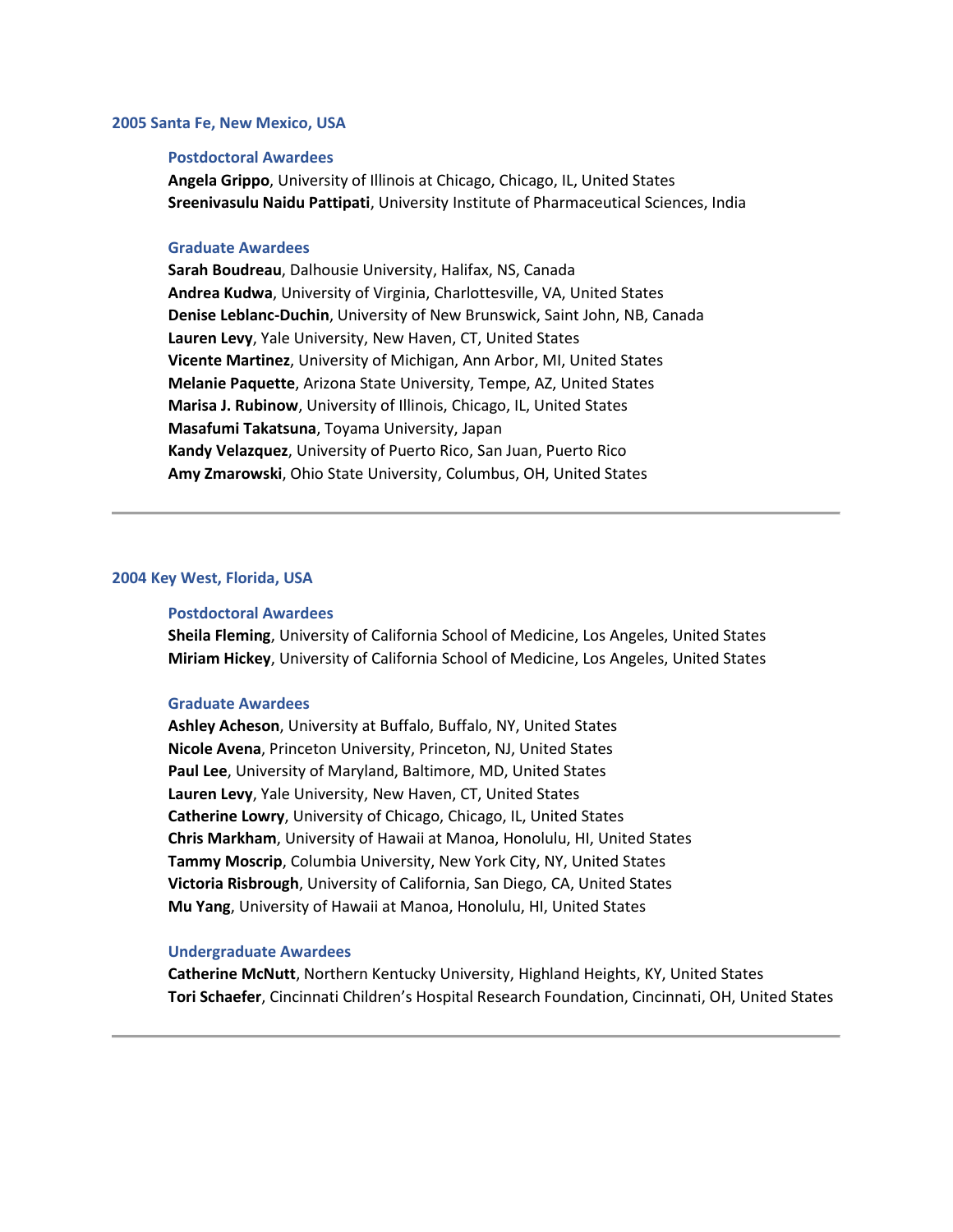## **2005 Santa Fe, New Mexico, USA**

### **Postdoctoral Awardees**

**Angela Grippo**, University of Illinois at Chicago, Chicago, IL, United States **Sreenivasulu Naidu Pattipati**, University Institute of Pharmaceutical Sciences, India

# **Graduate Awardees**

**Sarah Boudreau**, Dalhousie University, Halifax, NS, Canada **Andrea Kudwa**, University of Virginia, Charlottesville, VA, United States **Denise Leblanc-Duchin**, University of New Brunswick, Saint John, NB, Canada **Lauren Levy**, Yale University, New Haven, CT, United States **Vicente Martinez**, University of Michigan, Ann Arbor, MI, United States **Melanie Paquette**, Arizona State University, Tempe, AZ, United States **Marisa J. Rubinow**, University of Illinois, Chicago, IL, United States **Masafumi Takatsuna**, Toyama University, Japan **Kandy Velazquez**, University of Puerto Rico, San Juan, Puerto Rico **Amy Zmarowski**, Ohio State University, Columbus, OH, United States

# **2004 Key West, Florida, USA**

#### **Postdoctoral Awardees**

**Sheila Fleming**, University of California School of Medicine, Los Angeles, United States **Miriam Hickey**, University of California School of Medicine, Los Angeles, United States

## **Graduate Awardees**

**Ashley Acheson**, University at Buffalo, Buffalo, NY, United States **Nicole Avena**, Princeton University, Princeton, NJ, United States **Paul Lee**, University of Maryland, Baltimore, MD, United States **Lauren Levy**, Yale University, New Haven, CT, United States **Catherine Lowry**, University of Chicago, Chicago, IL, United States **Chris Markham**, University of Hawaii at Manoa, Honolulu, HI, United States **Tammy Moscrip**, Columbia University, New York City, NY, United States **Victoria Risbrough**, University of California, San Diego, CA, United States **Mu Yang**, University of Hawaii at Manoa, Honolulu, HI, United States

## **Undergraduate Awardees**

**Catherine McNutt**, Northern Kentucky University, Highland Heights, KY, United States **Tori Schaefer**, Cincinnati Children's Hospital Research Foundation, Cincinnati, OH, United States